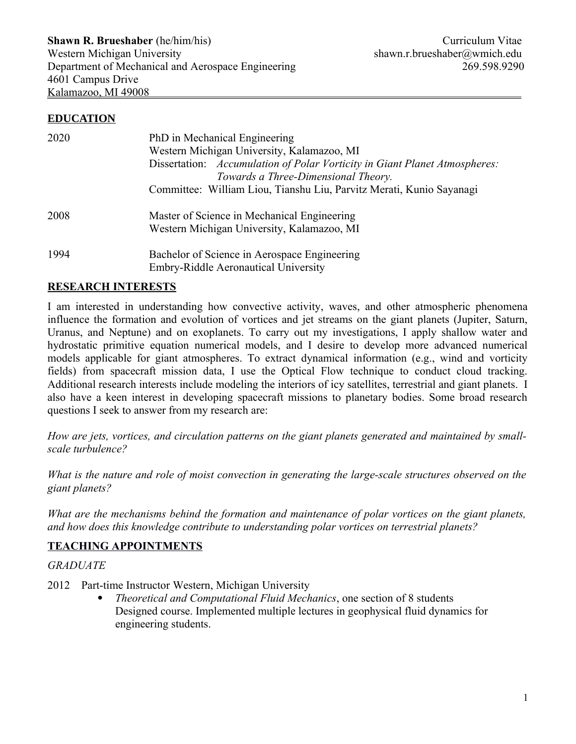#### **EDUCATION**

| 2020 | PhD in Mechanical Engineering<br>Western Michigan University, Kalamazoo, MI<br>Dissertation: Accumulation of Polar Vorticity in Giant Planet Atmospheres:<br>Towards a Three-Dimensional Theory. |
|------|--------------------------------------------------------------------------------------------------------------------------------------------------------------------------------------------------|
|      | Committee: William Liou, Tianshu Liu, Parvitz Merati, Kunio Sayanagi                                                                                                                             |
| 2008 | Master of Science in Mechanical Engineering<br>Western Michigan University, Kalamazoo, MI                                                                                                        |
| 1994 | Bachelor of Science in Aerospace Engineering<br><b>Embry-Riddle Aeronautical University</b>                                                                                                      |

#### **RESEARCH INTERESTS**

I am interested in understanding how convective activity, waves, and other atmospheric phenomena influence the formation and evolution of vortices and jet streams on the giant planets (Jupiter, Saturn, Uranus, and Neptune) and on exoplanets. To carry out my investigations, I apply shallow water and hydrostatic primitive equation numerical models, and I desire to develop more advanced numerical models applicable for giant atmospheres. To extract dynamical information (e.g., wind and vorticity fields) from spacecraft mission data, I use the Optical Flow technique to conduct cloud tracking. Additional research interests include modeling the interiors of icy satellites, terrestrial and giant planets. I also have a keen interest in developing spacecraft missions to planetary bodies. Some broad research questions I seek to answer from my research are:

*How are jets, vortices, and circulation patterns on the giant planets generated and maintained by smallscale turbulence?* 

*What is the nature and role of moist convection in generating the large-scale structures observed on the giant planets?*

*What are the mechanisms behind the formation and maintenance of polar vortices on the giant planets, and how does this knowledge contribute to understanding polar vortices on terrestrial planets?*

## **TEACHING APPOINTMENTS**

#### *GRADUATE*

- 2012 Part-time Instructor Western, Michigan University
	- *Theoretical and Computational Fluid Mechanics*, one section of 8 students Designed course. Implemented multiple lectures in geophysical fluid dynamics for engineering students.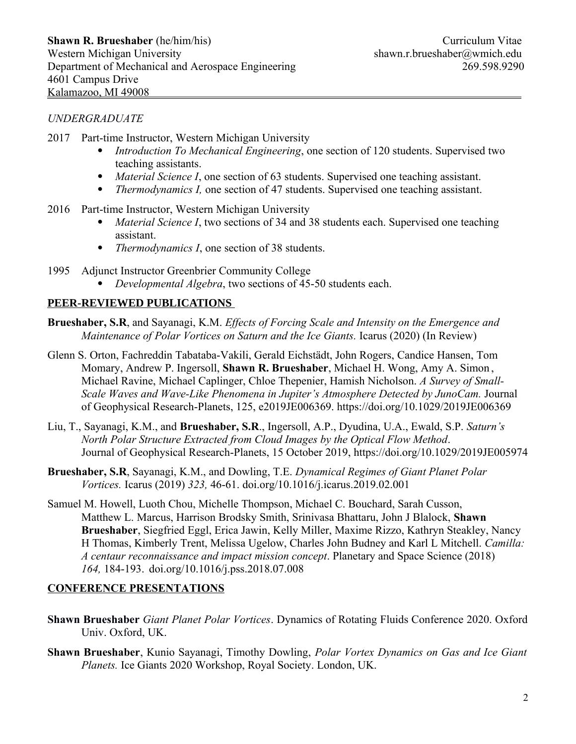## *UNDERGRADUATE*

- 2017 Part-time Instructor, Western Michigan University
	- *Introduction To Mechanical Engineering*, one section of 120 students. Supervised two teaching assistants.
	- *Material Science I*, one section of 63 students. Supervised one teaching assistant.
	- *Thermodynamics I,* one section of 47 students. Supervised one teaching assistant.
- 2016 Part-time Instructor, Western Michigan University
	- *Material Science I*, two sections of 34 and 38 students each. Supervised one teaching assistant.
	- *Thermodynamics I*, one section of 38 students.
- 1995 Adjunct Instructor Greenbrier Community College
	- *Developmental Algebra*, two sections of 45-50 students each.

## **PEER-REVIEWED PUBLICATIONS**

- **Brueshaber, S.R**, and Sayanagi, K.M. *Effects of Forcing Scale and Intensity on the Emergence and Maintenance of Polar Vortices on Saturn and the Ice Giants. Icarus [\(](https://doi.org/10.1016/j.icarus.2019.02.001)2020) (In Review)*
- Glenn S. Orton, Fachreddin Tabataba-Vakili, Gerald Eichstädt, John Rogers, Candice Hansen, Tom Momary, Andrew P. Ingersoll, **Shawn R. Brueshaber**, Michael H. Wong, Amy A. Simon , Michael Ravine, Michael Caplinger, Chloe Thepenier, Hamish Nicholson. *A Survey of Small-Scale Waves and Wave-Like Phenomena in Jupiter's Atmosphere Detected by JunoCam.* Journal of Geophysical Research-Planets, 125, e2019JE006369. https://doi.org/10.1029/2019JE006369
- Liu, T., Sayanagi, K.M., and **Brueshaber, S.R**., Ingersoll, A.P., Dyudina, U.A., Ewald, S.P. *Saturn's North Polar Structure Extracted from Cloud Images by the Optical Flow Method*. Journal of Geophysical Research-Planets, 15 October 2019, https://doi.org/10.1029/2019JE005974
- **Brueshaber, S.R**, Sayanagi, K.M., and Dowling, T.E. *Dynamical Regimes of Giant Planet Polar Vortices.* Icarus (2019) *323,* 46-61. [doi.org/10.1016/j.icarus.2019.02.001](https://doi.org/10.1016/j.icarus.2019.02.001)
- Samuel M. Howell, Luoth Chou, Michelle Thompson, Michael C. Bouchard, Sarah Cusson, Matthew L. Marcus, Harrison Brodsky Smith, Srinivasa Bhattaru, John J Blalock, **Shawn Brueshaber**, Siegfried Eggl, Erica Jawin, Kelly Miller, Maxime Rizzo, Kathryn Steakley, Nancy H Thomas, Kimberly Trent, Melissa Ugelow, Charles John Budney and Karl L Mitchell. *Camilla: A centaur reconnaissance and impact mission concept*. Planetary and Space Science (2018) *164,* 184-193. doi.org/10.1016/j.pss.2018.07.008

## **CONFERENCE PRESENTATIONS**

- **Shawn Brueshaber** *Giant Planet Polar Vortices*. Dynamics of Rotating Fluids Conference 2020. Oxford Univ. Oxford, UK.
- **Shawn Brueshaber**, Kunio Sayanagi, Timothy Dowling, *Polar Vortex Dynamics on Gas and Ice Giant Planets.* Ice Giants 2020 Workshop, Royal Society. London, UK.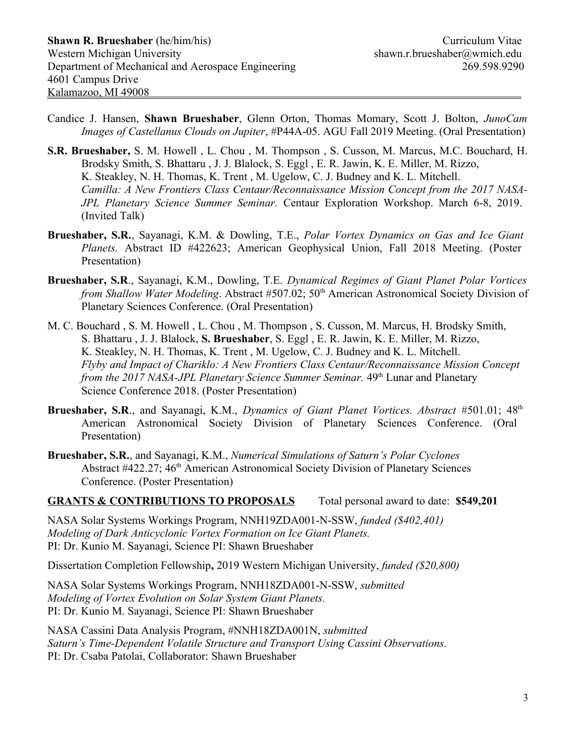- Candice J. Hansen, **Shawn Brueshaber**, Glenn Orton, Thomas Momary, Scott J. Bolton, *JunoCam Images of Castellanus Clouds on Jupiter*, #P44A-05. AGU Fall 2019 Meeting. (Oral Presentation)
- **S.R. Brueshaber,** S. M. Howell , L. Chou , M. Thompson , S. Cusson, M. Marcus, M.C. Bouchard, H. Brodsky Smith, S. Bhattaru , J. J. Blalock, S. Eggl , E. R. Jawin, K. E. Miller, M. Rizzo, K. Steakley, N. H. Thomas, K. Trent , M. Ugelow, C. J. Budney and K. L. Mitchell. *Camilla: A New Frontiers Class Centaur/Reconnaissance Mission Concept from the 2017 NASA-JPL Planetary Science Summer Seminar.* Centaur Exploration Workshop. March 6-8, 2019. (Invited Talk)
- **Brueshaber, S.R.**, Sayanagi, K.M. & Dowling, T.E., *Polar Vortex Dynamics on Gas and Ice Giant Planets.* Abstract ID #422623; American Geophysical Union, Fall 2018 Meeting. (Poster Presentation)
- **Brueshaber, S.R**., Sayanagi, K.M., Dowling, T.E. *Dynamical Regimes of Giant Planet Polar Vortices from Shallow Water Modeling.* Abstract #507.02; 50<sup>th</sup> American Astronomical Society Division of Planetary Sciences Conference. (Oral Presentation)
- M. C. Bouchard , S. M. Howell , L. Chou , M. Thompson , S. Cusson, M. Marcus, H. Brodsky Smith, S. Bhattaru , J. J. Blalock, **S. Brueshaber**, S. Eggl , E. R. Jawin, K. E. Miller, M. Rizzo, K. Steakley, N. H. Thomas, K. Trent , M. Ugelow, C. J. Budney and K. L. Mitchell. *Flyby and Impact of Chariklo: A New Frontiers Class Centaur/Reconnaissance Mission Concept from the 2017 NASA-JPL Planetary Science Summer Seminar.* 49<sup>th</sup> Lunar and Planetary Science Conference 2018. (Poster Presentation)
- **Brueshaber, S.R**., and Sayanagi, K.M., *Dynamics of Giant Planet Vortices. Abstract* #501.01; 48th American Astronomical Society Division of Planetary Sciences Conference. (Oral Presentation)
- **Brueshaber, S.R.**, and Sayanagi, K.M., *Numerical Simulations of Saturn's Polar Cyclones* Abstract #422.27; 46<sup>th</sup> American Astronomical Society Division of Planetary Sciences Conference. (Poster Presentation)

#### **GRANTS & CONTRIBUTIONS TO PROPOSALS** Total personal award to date:**\$549,201**

NASA Solar Systems Workings Program, NNH19ZDA001-N-SSW, *funded (\$402,401) Modeling of Dark Anticyclonic Vortex Formation on Ice Giant Planets.* PI: Dr. Kunio M. Sayanagi, Science PI: Shawn Brueshaber

Dissertation Completion Fellowship**,** 2019 Western Michigan University, *funded (\$20,800)*

NASA Solar Systems Workings Program, NNH18ZDA001-N-SSW, *submitted Modeling of Vortex Evolution on Solar System Giant Planets.* PI: Dr. Kunio M. Sayanagi, Science PI: Shawn Brueshaber

NASA Cassini Data Analysis Program, #NNH18ZDA001N, *submitted Saturn's Time-Dependent Volatile Structure and Transport Using Cassini Observations.* PI: Dr. Csaba Patolai, Collaborator: Shawn Brueshaber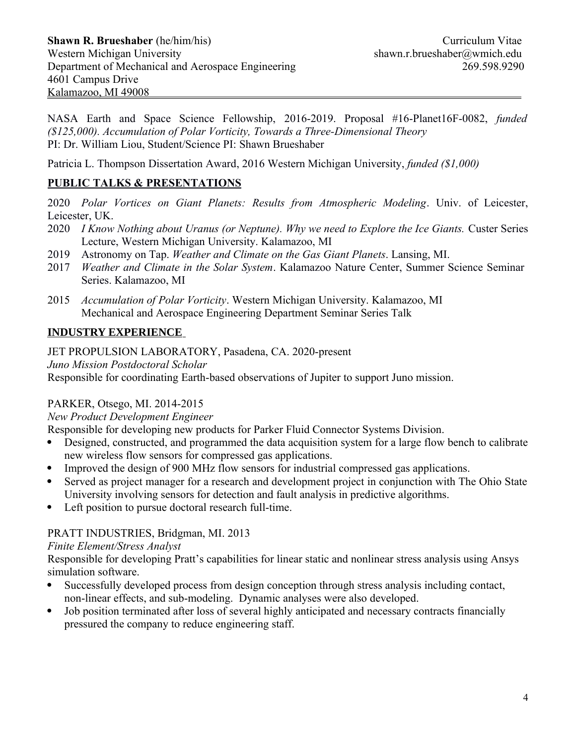NASA Earth and Space Science Fellowship, 2016-2019. Proposal #16-Planet16F-0082, *funded (\$125,000). Accumulation of Polar Vorticity, Towards a Three-Dimensional Theory* PI: Dr. William Liou, Student/Science PI: Shawn Brueshaber

Patricia L. Thompson Dissertation Award, 2016 Western Michigan University, *funded (\$1,000)*

## **PUBLIC TALKS & PRESENTATIONS**

2020 *Polar Vortices on Giant Planets: Results from Atmospheric Modeling*. Univ. of Leicester, Leicester, UK.

- 2020 *I Know Nothing about Uranus (or Neptune). Why we need to Explore the Ice Giants.* Custer Series Lecture, Western Michigan University. Kalamazoo, MI
- 2019 Astronomy on Tap. *Weather and Climate on the Gas Giant Planets*. Lansing, MI.
- 2017 *Weather and Climate in the Solar System*. Kalamazoo Nature Center, Summer Science Seminar Series. Kalamazoo, MI
- 2015 *Accumulation of Polar Vorticity*. Western Michigan University. Kalamazoo, MI Mechanical and Aerospace Engineering Department Seminar Series Talk

## **INDUSTRY EXPERIENCE**

#### JET PROPULSION LABORATORY, Pasadena, CA. 2020-present

*Juno Mission Postdoctoral Scholar*

Responsible for coordinating Earth-based observations of Jupiter to support Juno mission.

## PARKER, Otsego, MI. 2014-2015

## *New Product Development Engineer*

Responsible for developing new products for Parker Fluid Connector Systems Division.

- Designed, constructed, and programmed the data acquisition system for a large flow bench to calibrate new wireless flow sensors for compressed gas applications.
- Improved the design of 900 MHz flow sensors for industrial compressed gas applications.
- Served as project manager for a research and development project in conjunction with The Ohio State University involving sensors for detection and fault analysis in predictive algorithms.
- Left position to pursue doctoral research full-time.

## PRATT INDUSTRIES, Bridgman, MI. 2013

#### *Finite Element/Stress Analyst*

Responsible for developing Pratt's capabilities for linear static and nonlinear stress analysis using Ansys simulation software.

- Successfully developed process from design conception through stress analysis including contact, non-linear effects, and sub-modeling. Dynamic analyses were also developed.
- Job position terminated after loss of several highly anticipated and necessary contracts financially pressured the company to reduce engineering staff.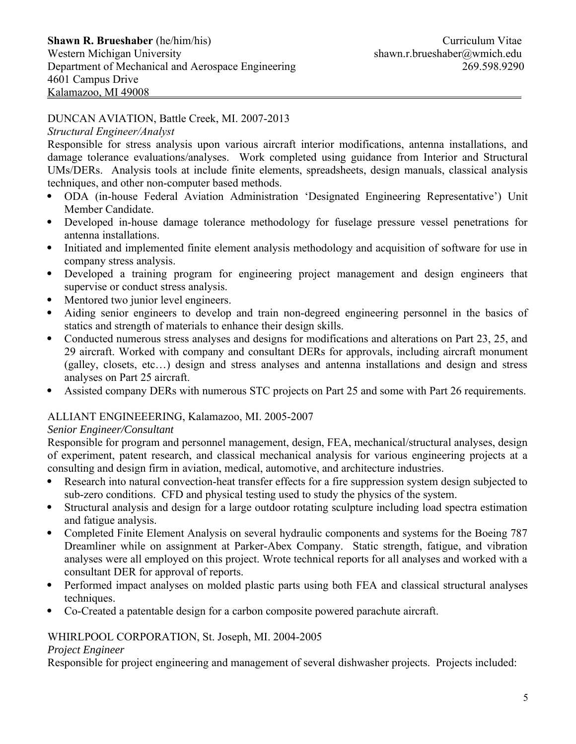## DUNCAN AVIATION, Battle Creek, MI. 2007-2013

#### *Structural Engineer/Analyst*

Responsible for stress analysis upon various aircraft interior modifications, antenna installations, and damage tolerance evaluations/analyses. Work completed using guidance from Interior and Structural UMs/DERs. Analysis tools at include finite elements, spreadsheets, design manuals, classical analysis techniques, and other non-computer based methods.

- ODA (in-house Federal Aviation Administration 'Designated Engineering Representative') Unit Member Candidate.
- Developed in-house damage tolerance methodology for fuselage pressure vessel penetrations for antenna installations.
- Initiated and implemented finite element analysis methodology and acquisition of software for use in company stress analysis.
- Developed a training program for engineering project management and design engineers that supervise or conduct stress analysis.
- Mentored two junior level engineers.
- Aiding senior engineers to develop and train non-degreed engineering personnel in the basics of statics and strength of materials to enhance their design skills.
- Conducted numerous stress analyses and designs for modifications and alterations on Part 23, 25, and 29 aircraft. Worked with company and consultant DERs for approvals, including aircraft monument (galley, closets, etc…) design and stress analyses and antenna installations and design and stress analyses on Part 25 aircraft.
- Assisted company DERs with numerous STC projects on Part 25 and some with Part 26 requirements.

## ALLIANT ENGINEEERING, Kalamazoo, MI. 2005-2007

## *Senior Engineer/Consultant*

Responsible for program and personnel management, design, FEA, mechanical/structural analyses, design of experiment, patent research, and classical mechanical analysis for various engineering projects at a consulting and design firm in aviation, medical, automotive, and architecture industries.

- Research into natural convection-heat transfer effects for a fire suppression system design subjected to sub-zero conditions. CFD and physical testing used to study the physics of the system.
- Structural analysis and design for a large outdoor rotating sculpture including load spectra estimation and fatigue analysis.
- Completed Finite Element Analysis on several hydraulic components and systems for the Boeing 787 Dreamliner while on assignment at Parker-Abex Company. Static strength, fatigue, and vibration analyses were all employed on this project. Wrote technical reports for all analyses and worked with a consultant DER for approval of reports.
- Performed impact analyses on molded plastic parts using both FEA and classical structural analyses techniques.
- Co-Created a patentable design for a carbon composite powered parachute aircraft.

## WHIRLPOOL CORPORATION, St. Joseph, MI. 2004-2005

#### *Project Engineer*

Responsible for project engineering and management of several dishwasher projects. Projects included: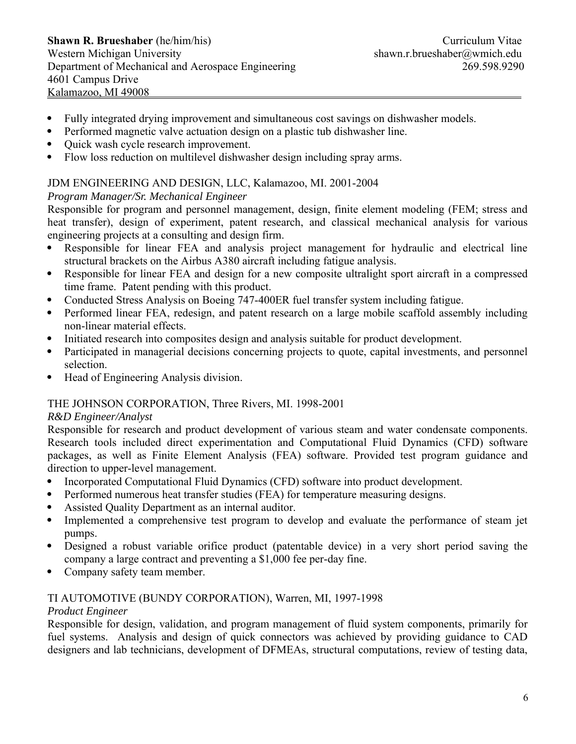- Fully integrated drying improvement and simultaneous cost savings on dishwasher models.
- Performed magnetic valve actuation design on a plastic tub dishwasher line.
- Quick wash cycle research improvement.
- Flow loss reduction on multilevel dishwasher design including spray arms.

## JDM ENGINEERING AND DESIGN, LLC, Kalamazoo, MI. 2001-2004

## *Program Manager/Sr. Mechanical Engineer*

Responsible for program and personnel management, design, finite element modeling (FEM; stress and heat transfer), design of experiment, patent research, and classical mechanical analysis for various engineering projects at a consulting and design firm.

- Responsible for linear FEA and analysis project management for hydraulic and electrical line structural brackets on the Airbus A380 aircraft including fatigue analysis.
- Responsible for linear FEA and design for a new composite ultralight sport aircraft in a compressed time frame. Patent pending with this product.
- Conducted Stress Analysis on Boeing 747-400ER fuel transfer system including fatigue.
- Performed linear FEA, redesign, and patent research on a large mobile scaffold assembly including non-linear material effects.
- Initiated research into composites design and analysis suitable for product development.
- Participated in managerial decisions concerning projects to quote, capital investments, and personnel selection.
- Head of Engineering Analysis division.

## THE JOHNSON CORPORATION, Three Rivers, MI. 1998-2001

## *R&D Engineer/Analyst*

Responsible for research and product development of various steam and water condensate components. Research tools included direct experimentation and Computational Fluid Dynamics (CFD) software packages, as well as Finite Element Analysis (FEA) software. Provided test program guidance and direction to upper-level management.

- Incorporated Computational Fluid Dynamics (CFD) software into product development.
- Performed numerous heat transfer studies (FEA) for temperature measuring designs.
- Assisted Quality Department as an internal auditor.
- Implemented a comprehensive test program to develop and evaluate the performance of steam jet pumps.
- Designed a robust variable orifice product (patentable device) in a very short period saving the company a large contract and preventing a \$1,000 fee per-day fine.
- Company safety team member.

## TI AUTOMOTIVE (BUNDY CORPORATION), Warren, MI, 1997-1998

## *Product Engineer*

Responsible for design, validation, and program management of fluid system components, primarily for fuel systems. Analysis and design of quick connectors was achieved by providing guidance to CAD designers and lab technicians, development of DFMEAs, structural computations, review of testing data,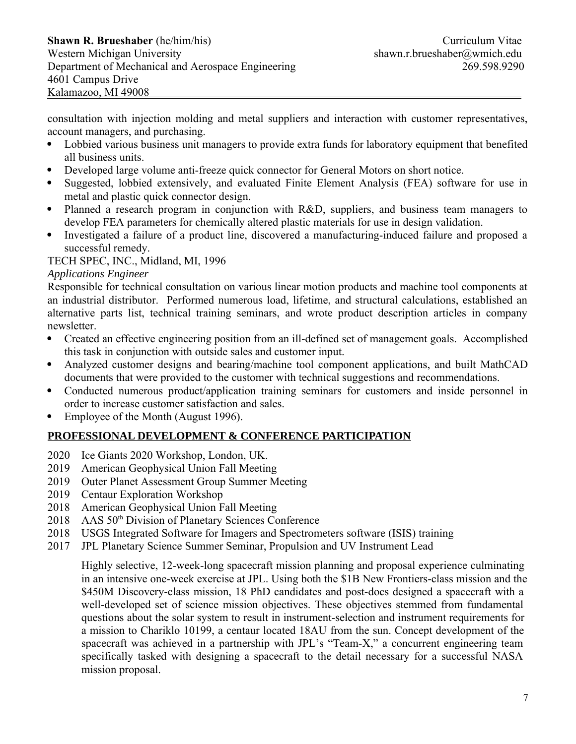consultation with injection molding and metal suppliers and interaction with customer representatives, account managers, and purchasing.

- Lobbied various business unit managers to provide extra funds for laboratory equipment that benefited all business units.
- Developed large volume anti-freeze quick connector for General Motors on short notice.
- Suggested, lobbied extensively, and evaluated Finite Element Analysis (FEA) software for use in metal and plastic quick connector design.
- Planned a research program in conjunction with R&D, suppliers, and business team managers to develop FEA parameters for chemically altered plastic materials for use in design validation.
- Investigated a failure of a product line, discovered a manufacturing-induced failure and proposed a successful remedy.

TECH SPEC, INC., Midland, MI, 1996

## *Applications Engineer*

Responsible for technical consultation on various linear motion products and machine tool components at an industrial distributor. Performed numerous load, lifetime, and structural calculations, established an alternative parts list, technical training seminars, and wrote product description articles in company newsletter.

- Created an effective engineering position from an ill-defined set of management goals. Accomplished this task in conjunction with outside sales and customer input.
- Analyzed customer designs and bearing/machine tool component applications, and built MathCAD documents that were provided to the customer with technical suggestions and recommendations.
- Conducted numerous product/application training seminars for customers and inside personnel in order to increase customer satisfaction and sales.
- Employee of the Month (August 1996).

## **PROFESSIONAL DEVELOPMENT & CONFERENCE PARTICIPATION**

- 2020 Ice Giants 2020 Workshop, London, UK.
- 2019 American Geophysical Union Fall Meeting
- 2019 Outer Planet Assessment Group Summer Meeting
- 2019 Centaur Exploration Workshop
- 2018 American Geophysical Union Fall Meeting
- 2018 AAS 50<sup>th</sup> Division of Planetary Sciences Conference
- 2018 USGS Integrated Software for Imagers and Spectrometers software (ISIS) training
- 2017 JPL Planetary Science Summer Seminar, Propulsion and UV Instrument Lead

Highly selective, 12-week-long spacecraft mission planning and proposal experience culminating in an intensive one-week exercise at JPL. Using both the \$1B New Frontiers-class mission and the \$450M Discovery-class mission, 18 PhD candidates and post-docs designed a spacecraft with a well-developed set of science mission objectives. These objectives stemmed from fundamental questions about the solar system to result in instrument-selection and instrument requirements for a mission to Chariklo 10199, a centaur located 18AU from the sun. Concept development of the spacecraft was achieved in a partnership with JPL's "Team-X," a concurrent engineering team specifically tasked with designing a spacecraft to the detail necessary for a successful NASA mission proposal.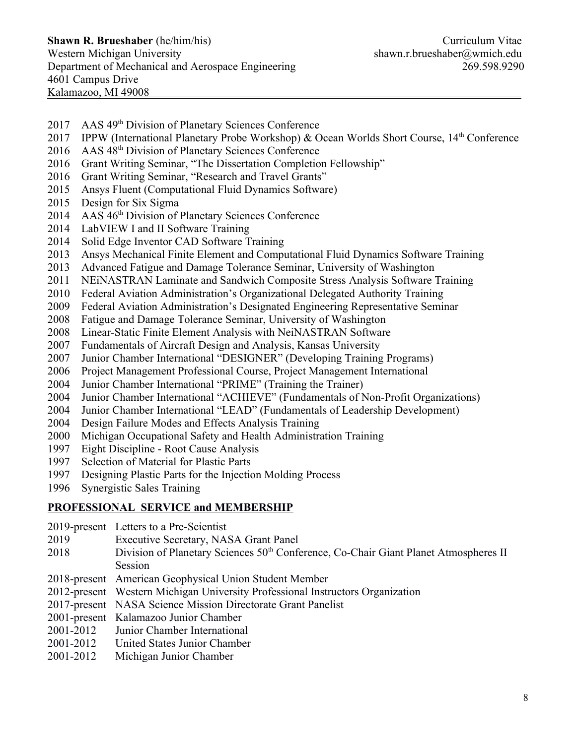- 2017 AAS 49th Division of Planetary Sciences Conference
- 2017 IPPW (International Planetary Probe Workshop) & Ocean Worlds Short Course, 14<sup>th</sup> Conference
- 2016 AAS 48th Division of Planetary Sciences Conference
- 2016 Grant Writing Seminar, "The Dissertation Completion Fellowship"
- 2016 Grant Writing Seminar, "Research and Travel Grants"
- 2015 Ansys Fluent (Computational Fluid Dynamics Software)
- 2015 Design for Six Sigma
- 2014 AAS 46<sup>th</sup> Division of Planetary Sciences Conference
- 2014 LabVIEW I and II Software Training
- 2014 Solid Edge Inventor CAD Software Training
- 2013 Ansys Mechanical Finite Element and Computational Fluid Dynamics Software Training
- 2013 Advanced Fatigue and Damage Tolerance Seminar, University of Washington
- 2011 NEiNASTRAN Laminate and Sandwich Composite Stress Analysis Software Training
- 2010 Federal Aviation Administration's Organizational Delegated Authority Training
- 2009 Federal Aviation Administration's Designated Engineering Representative Seminar
- 2008 Fatigue and Damage Tolerance Seminar, University of Washington
- 2008 Linear-Static Finite Element Analysis with NeiNASTRAN Software
- 2007 Fundamentals of Aircraft Design and Analysis, Kansas University
- 2007 Junior Chamber International "DESIGNER" (Developing Training Programs)
- 2006 Project Management Professional Course, Project Management International
- 2004 Junior Chamber International "PRIME" (Training the Trainer)
- 2004 Junior Chamber International "ACHIEVE" (Fundamentals of Non-Profit Organizations)
- 2004 Junior Chamber International "LEAD" (Fundamentals of Leadership Development)
- 2004 Design Failure Modes and Effects Analysis Training
- 2000 Michigan Occupational Safety and Health Administration Training
- 1997 Eight Discipline Root Cause Analysis
- 1997 Selection of Material for Plastic Parts
- 1997 Designing Plastic Parts for the Injection Molding Process
- 1996 Synergistic Sales Training

#### **PROFESSIONAL SERVICE and MEMBERSHIP**

- 2019-present Letters to a Pre-Scientist
- 2019 Executive Secretary, NASA Grant Panel
- 2018 Division of Planetary Sciences 50<sup>th</sup> Conference, Co-Chair Giant Planet Atmospheres II Session
- 2018-present American Geophysical Union Student Member
- 2012-present Western Michigan University Professional Instructors Organization
- 2017-present NASA Science Mission Directorate Grant Panelist
- 2001-present Kalamazoo Junior Chamber
- 2001-2012 Junior Chamber International
- 2001-2012 United States Junior Chamber
- 2001-2012 Michigan Junior Chamber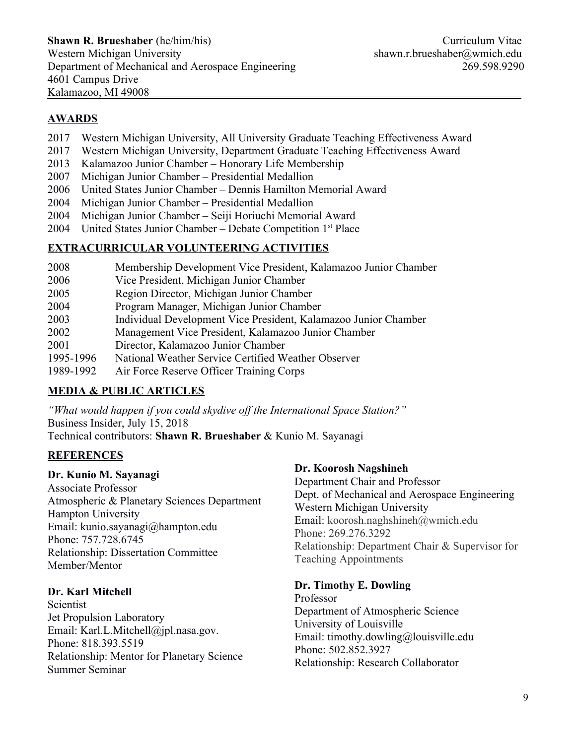# **AWARDS**

- 2017 Western Michigan University, All University Graduate Teaching Effectiveness Award
- 2017 Western Michigan University, Department Graduate Teaching Effectiveness Award
- 2013 Kalamazoo Junior Chamber Honorary Life Membership
- 2007 Michigan Junior Chamber Presidential Medallion
- 2006 United States Junior Chamber Dennis Hamilton Memorial Award
- 2004 Michigan Junior Chamber Presidential Medallion
- 2004 Michigan Junior Chamber Seiji Horiuchi Memorial Award
- 2004 United States Junior Chamber Debate Competition 1<sup>st</sup> Place

# **EXTRACURRICULAR VOLUNTEERING ACTIVITIES**

- 2008 Membership Development Vice President, Kalamazoo Junior Chamber 2006 Vice President, Michigan Junior Chamber 2005 Region Director, Michigan Junior Chamber 2004 Program Manager, Michigan Junior Chamber 2003 Individual Development Vice President, Kalamazoo Junior Chamber 2002 Management Vice President, Kalamazoo Junior Chamber 2001 Director, Kalamazoo Junior Chamber 1995-1996 National Weather Service Certified Weather Observer
- 1989-1992 Air Force Reserve Officer Training Corps

# **MEDIA & PUBLIC ARTICLES**

*"What would happen if you could skydive off the International Space Station?"* Business Insider, July 15, 2018 Technical contributors: **Shawn R. Brueshaber** & Kunio M. Sayanagi

# **REFERENCES**

## **Dr. Kunio M. Sayanagi**

Associate Professor Atmospheric & Planetary Sciences Department Hampton University Email: kunio.sayanagi@hampton.edu Phone: 757.728.6745 Relationship: Dissertation Committee Member/Mentor

## **Dr. Karl Mitchell**

Scientist Jet Propulsion Laboratory Email: Karl.L.Mitchell@jpl.nasa.gov. Phone: 818.393.5519 Relationship: Mentor for Planetary Science Summer Seminar

## **Dr. Koorosh Nagshineh**

Department Chair and Professor Dept. of Mechanical and Aerospace Engineering Western Michigan University Email: koorosh.naghshineh@wmich.edu Phone: 269.276.3292 Relationship: Department Chair & Supervisor for Teaching Appointments

## **Dr. Timothy E. Dowling**

Professor Department of Atmospheric Science University of Louisville Email: timothy.dowling@louisville.edu Phone: 502.852.3927 Relationship: Research Collaborator